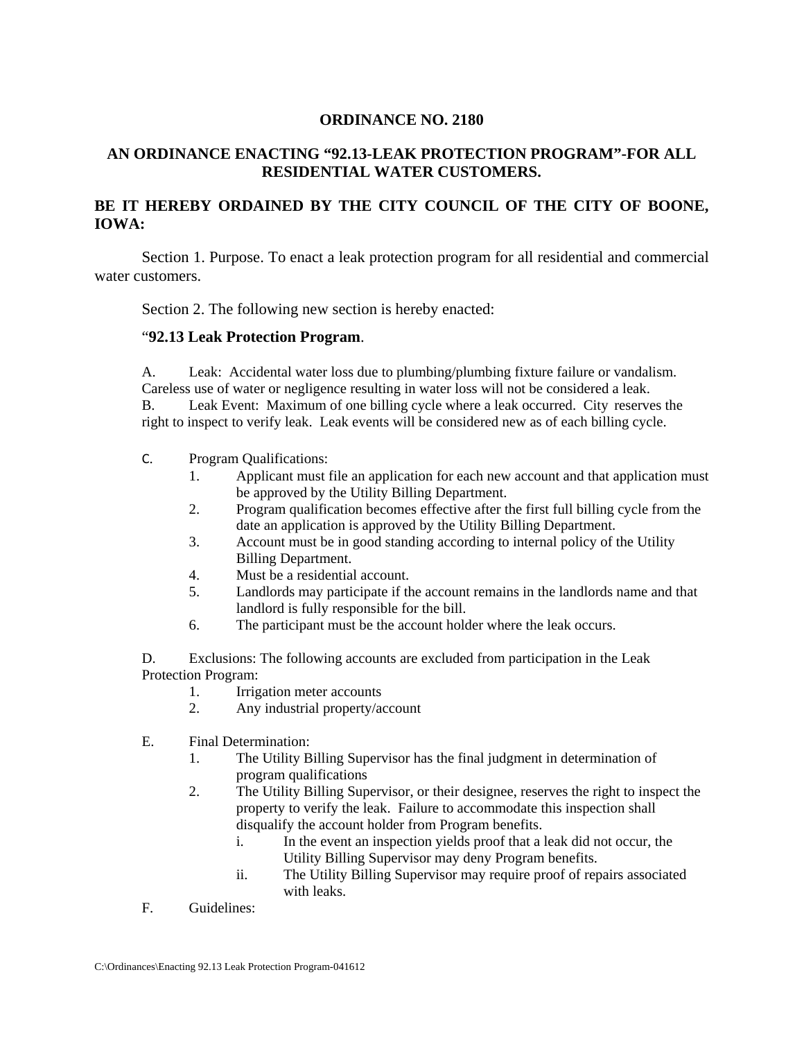## **ORDINANCE NO. 2180**

# **AN ORDINANCE ENACTING "92.13-LEAK PROTECTION PROGRAM"-FOR ALL RESIDENTIAL WATER CUSTOMERS.**

## **BE IT HEREBY ORDAINED BY THE CITY COUNCIL OF THE CITY OF BOONE, IOWA:**

 Section 1. Purpose. To enact a leak protection program for all residential and commercial water customers.

Section 2. The following new section is hereby enacted:

#### "**92.13 Leak Protection Program**.

A. Leak:Accidental water loss due to plumbing/plumbing fixture failure or vandalism. Careless use of water or negligence resulting in water loss will not be considered a leak. B. Leak Event: Maximum of one billing cycle where a leak occurred. City reserves the right to inspect to verify leak. Leak events will be considered new as of each billing cycle.

- C. Program Qualifications:
	- 1. Applicant must file an application for each new account and that application must be approved by the Utility Billing Department.
	- 2. Program qualification becomes effective after the first full billing cycle from the date an application is approved by the Utility Billing Department.
	- 3. Account must be in good standing according to internal policy of the Utility Billing Department.
	- 4. Must be a residential account.
	- 5. Landlords may participate if the account remains in the landlords name and that landlord is fully responsible for the bill.
	- 6. The participant must be the account holder where the leak occurs.

D. Exclusions: The following accounts are excluded from participation in the Leak Protection Program:

- 1. Irrigation meter accounts
- 2. Any industrial property/account
- E. Final Determination:
	- 1. The Utility Billing Supervisor has the final judgment in determination of program qualifications
	- 2. The Utility Billing Supervisor, or their designee, reserves the right to inspect the property to verify the leak. Failure to accommodate this inspection shall disqualify the account holder from Program benefits.
		- i. In the event an inspection yields proof that a leak did not occur, the Utility Billing Supervisor may deny Program benefits.
		- ii. The Utility Billing Supervisor may require proof of repairs associated with leaks.
- F. Guidelines: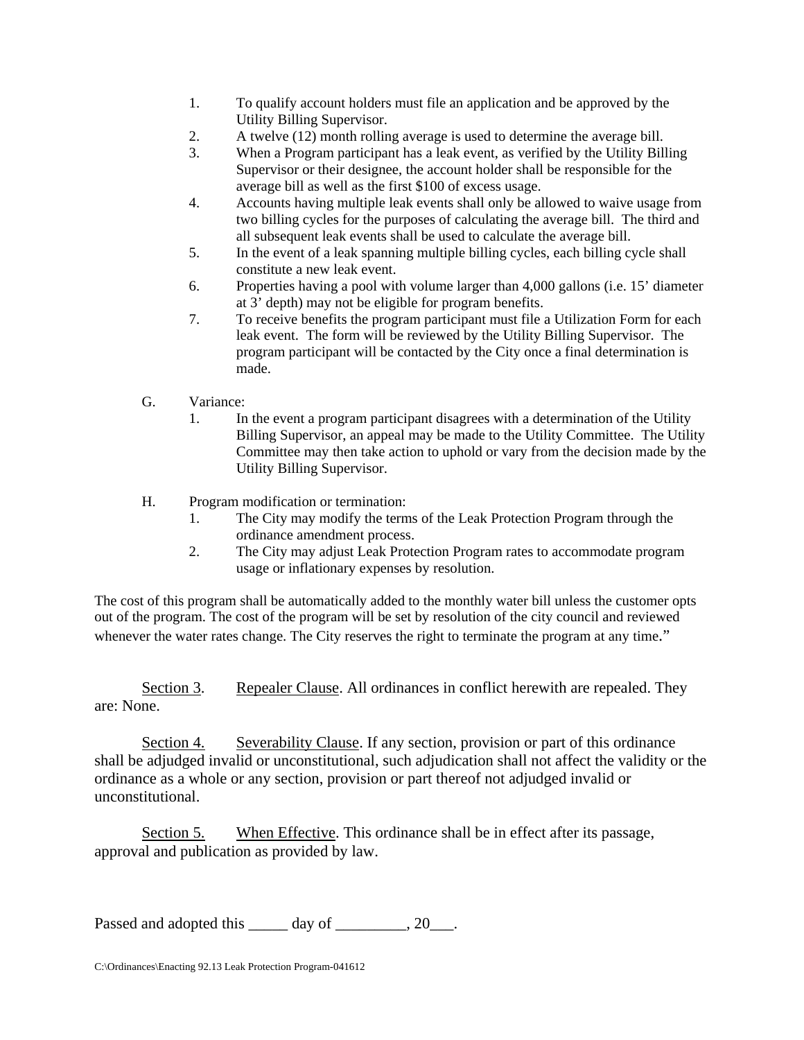- 1. To qualify account holders must file an application and be approved by the Utility Billing Supervisor.
- 2. A twelve (12) month rolling average is used to determine the average bill.
- 3. When a Program participant has a leak event, as verified by the Utility Billing Supervisor or their designee, the account holder shall be responsible for the average bill as well as the first \$100 of excess usage.
- 4. Accounts having multiple leak events shall only be allowed to waive usage from two billing cycles for the purposes of calculating the average bill. The third and all subsequent leak events shall be used to calculate the average bill.
- 5. In the event of a leak spanning multiple billing cycles, each billing cycle shall constitute a new leak event.
- 6. Properties having a pool with volume larger than 4,000 gallons (i.e. 15' diameter at 3' depth) may not be eligible for program benefits.
- 7. To receive benefits the program participant must file a Utilization Form for each leak event. The form will be reviewed by the Utility Billing Supervisor. The program participant will be contacted by the City once a final determination is made.
- G. Variance:
	- 1. In the event a program participant disagrees with a determination of the Utility Billing Supervisor, an appeal may be made to the Utility Committee. The Utility Committee may then take action to uphold or vary from the decision made by the Utility Billing Supervisor.

### H. Program modification or termination:

- 1. The City may modify the terms of the Leak Protection Program through the ordinance amendment process.
- 2. The City may adjust Leak Protection Program rates to accommodate program usage or inflationary expenses by resolution.

The cost of this program shall be automatically added to the monthly water bill unless the customer opts out of the program. The cost of the program will be set by resolution of the city council and reviewed whenever the water rates change. The City reserves the right to terminate the program at any time."

Section 3. Repealer Clause. All ordinances in conflict herewith are repealed. They are: None.

Section 4. Severability Clause. If any section, provision or part of this ordinance shall be adjudged invalid or unconstitutional, such adjudication shall not affect the validity or the ordinance as a whole or any section, provision or part thereof not adjudged invalid or unconstitutional.

Section 5. When Effective. This ordinance shall be in effect after its passage, approval and publication as provided by law.

Passed and adopted this \_\_\_\_\_ day of \_\_\_\_\_\_\_, 20\_\_\_.